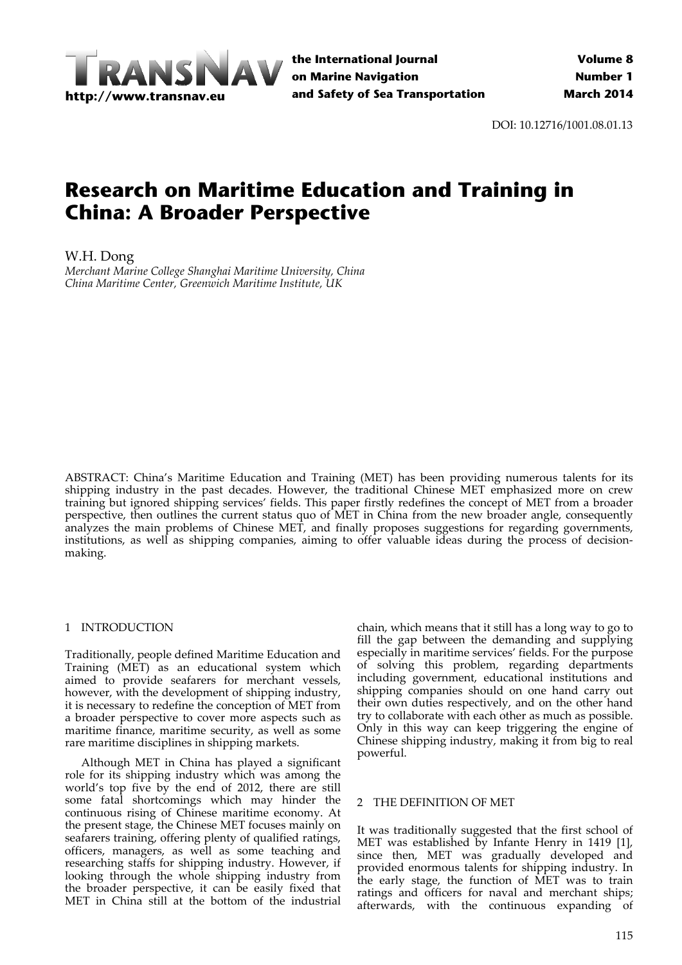

**the International Journal on Marine Navigation and Safety of Sea Transportation**

DOI: 10.12716/1001.08.01.13

# **Research on Maritime Education and Training in China: A Broader Perspective**

W.H. Dong

*Merchant Marine College Shanghai Maritime University, China China Maritime Center, Greenwich Maritime Institute, UK*

ABSTRACT: China's Maritime Education and Training (MET) has been providing numerous talents for its shipping industry in the past decades. However, the traditional Chinese MET emphasized more on crew training but ignored shipping services' fields. This paper firstly redefines the concept of MET from a broader perspective, then outlines the current status quo of MET in China from the new broader angle, consequently analyzes the main problems of Chinese MET, and finally proposes suggestions for regarding governments, institutions, as well as shipping companies, aiming to offer valuable ideas during the process of decisionmaking.

## 1 INTRODUCTION

Traditionally, people defined Maritime Education and Training (MET) as an educational system which aimed to provide seafarers for merchant vessels, however, with the development of shipping industry, it is necessary to redefine the conception of MET from a broader perspective to cover more aspects such as maritime finance, maritime security, as well as some rare maritime disciplines in shipping markets.

Although MET in China has played a significant role for its shipping industry which was among the world's top five by the end of 2012, there are still some fatal shortcomings which may hinder the continuous rising of Chinese maritime economy. At the present stage, the Chinese MET focuses mainly on seafarers training, offering plenty of qualified ratings, officers, managers, as well as some teaching and researching staffs for shipping industry. However, if looking through the whole shipping industry from the broader perspective, it can be easily fixed that MET in China still at the bottom of the industrial

chain, which means that it still has a long way to go to fill the gap between the demanding and supplying especially in maritime services' fields. For the purpose of solving this problem, regarding departments including government, educational institutions and shipping companies should on one hand carry out their own duties respectively, and on the other hand try to collaborate with each other as much as possible. Only in this way can keep triggering the engine of Chinese shipping industry, making it from big to real powerful.

### 2 THE DEFINITION OF MET

It was traditionally suggested that the first school of MET was established by Infante Henry in 1419 [1], since then, MET was gradually developed and provided enormous talents for shipping industry. In the early stage, the function of MET was to train ratings and officers for naval and merchant ships; afterwards, with the continuous expanding of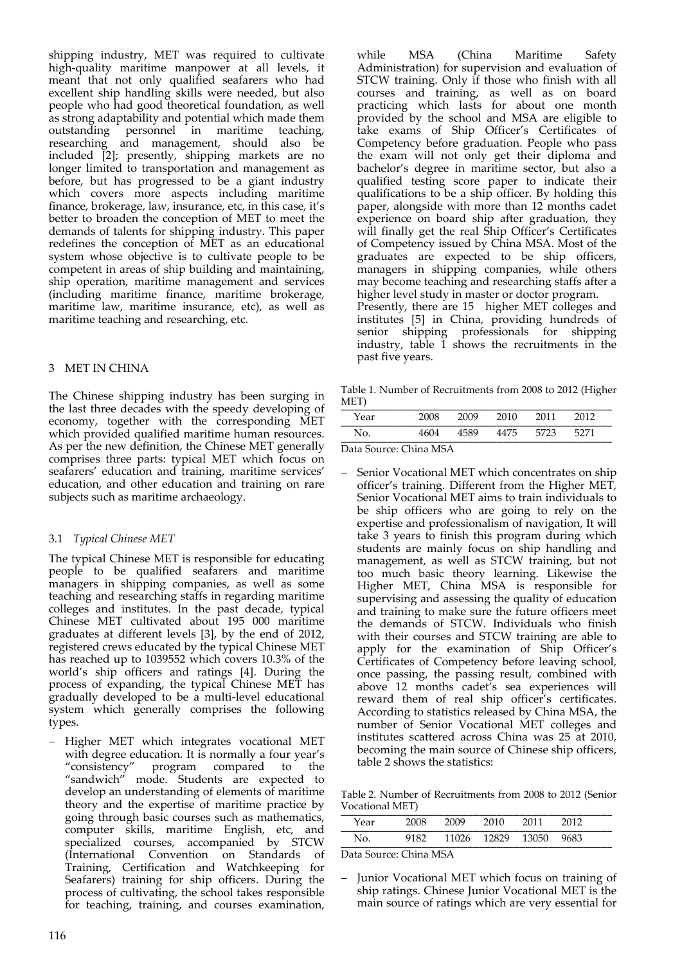shipping industry, MET was required to cultivate high-quality maritime manpower at all levels, it meant that not only qualified seafarers who had excellent ship handling skills were needed, but also people who had good theoretical foundation, as well as strong adaptability and potential which made them outstanding personnel in maritime teaching, researching and management, should also be included [2]; presently, shipping markets are no longer limited to transportation and management as before, but has progressed to be a giant industry which covers more aspects including maritime finance, brokerage, law, insurance, etc, in this case, it's better to broaden the conception of MET to meet the demands of talents for shipping industry. This paper redefines the conception of MET as an educational system whose objective is to cultivate people to be competent in areas of ship building and maintaining, ship operation, maritime management and services (including maritime finance, maritime brokerage, maritime law, maritime insurance, etc), as well as maritime teaching and researching, etc.

## 3 MET IN CHINA

The Chinese shipping industry has been surging in the last three decades with the speedy developing of economy, together with the corresponding MET which provided qualified maritime human resources. As per the new definition, the Chinese MET generally comprises three parts: typical MET which focus on seafarers' education and training, maritime services' education, and other education and training on rare subjects such as maritime archaeology.

## 3.1 *Typical Chinese MET*

The typical Chinese MET is responsible for educating people to be qualified seafarers and maritime managers in shipping companies, as well as some teaching and researching staffs in regarding maritime colleges and institutes. In the past decade, typical Chinese MET cultivated about 195 000 maritime graduates at different levels [3], by the end of 2012, registered crews educated by the typical Chinese MET has reached up to 1039552 which covers 10.3% of the world's ship officers and ratings [4]. During the process of expanding, the typical Chinese MET has gradually developed to be a multi‐level educational system which generally comprises the following types.

- Higher MET which integrates vocational MET with degree education. It is normally a four year's "consistency" program compared to the "sandwich" mode. Students are expected to develop an understanding of elements of maritime theory and the expertise of maritime practice by going through basic courses such as mathematics, computer skills, maritime English, etc, and specialized courses, accompanied by STCW (International Convention on Standards of Training, Certification and Watchkeeping for Seafarers) training for ship officers. During the process of cultivating, the school takes responsible for teaching, training, and courses examination,

while MSA (China Maritime Safety Administration) for supervision and evaluation of STCW training. Only if those who finish with all courses and training, as well as on board practicing which lasts for about one month provided by the school and MSA are eligible to take exams of Ship Officer's Certificates of Competency before graduation. People who pass the exam will not only get their diploma and bachelor's degree in maritime sector, but also a qualified testing score paper to indicate their qualifications to be a ship officer. By holding this paper, alongside with more than 12 months cadet experience on board ship after graduation, they will finally get the real Ship Officer's Certificates of Competency issued by China MSA. Most of the graduates are expected to be ship officers, managers in shipping companies, while others may become teaching and researching staffs after a higher level study in master or doctor program. Presently, there are 15 higher MET colleges and institutes [5] in China, providing hundreds of senior shipping professionals for shipping industry, table 1 shows the recruitments in the

Table 1. Number of Recruitments from 2008 to 2012 (Higher MET) \_\_\_\_\_\_\_\_\_\_\_\_\_\_\_\_\_\_\_\_\_\_\_\_\_\_\_\_\_\_\_\_\_\_\_\_\_\_\_\_\_\_\_\_\_\_\_

| Year | 2008 | 2009 | 2010 2011 2012 |  |
|------|------|------|----------------|--|
| Nο.  | 4604 | 4589 | 4475 5723 5271 |  |

Data Source: China MSA

past five years.

 Senior Vocational MET which concentrates on ship officer's training. Different from the Higher MET, Senior Vocational MET aims to train individuals to be ship officers who are going to rely on the expertise and professionalism of navigation, It will take 3 years to finish this program during which students are mainly focus on ship handling and management, as well as STCW training, but not too much basic theory learning. Likewise the Higher MET, China MSA is responsible for supervising and assessing the quality of education and training to make sure the future officers meet the demands of STCW. Individuals who finish with their courses and STCW training are able to apply for the examination of Ship Officer's Certificates of Competency before leaving school, once passing, the passing result, combined with above 12 months cadet's sea experiences will reward them of real ship officer's certificates. According to statistics released by China MSA, the number of Senior Vocational MET colleges and institutes scattered across China was 25 at 2010, becoming the main source of Chinese ship officers, table 2 shows the statistics:

Table 2. Number of Recruitments from 2008 to 2012 (Senior Vocational MET) \_\_\_\_\_\_\_\_\_\_\_\_\_\_\_\_\_\_\_\_\_\_\_\_\_\_\_\_\_\_\_\_\_\_\_\_\_\_\_\_\_\_\_\_\_\_\_

| Year | 2008 | 2009                             | 2010 2011 2012 |      |
|------|------|----------------------------------|----------------|------|
| Nο.  |      | 9182 - 11026 - 12829 - 13050 - 1 |                | 9683 |

Data Source: China MSA

 Junior Vocational MET which focus on training of ship ratings. Chinese Junior Vocational MET is the main source of ratings which are very essential for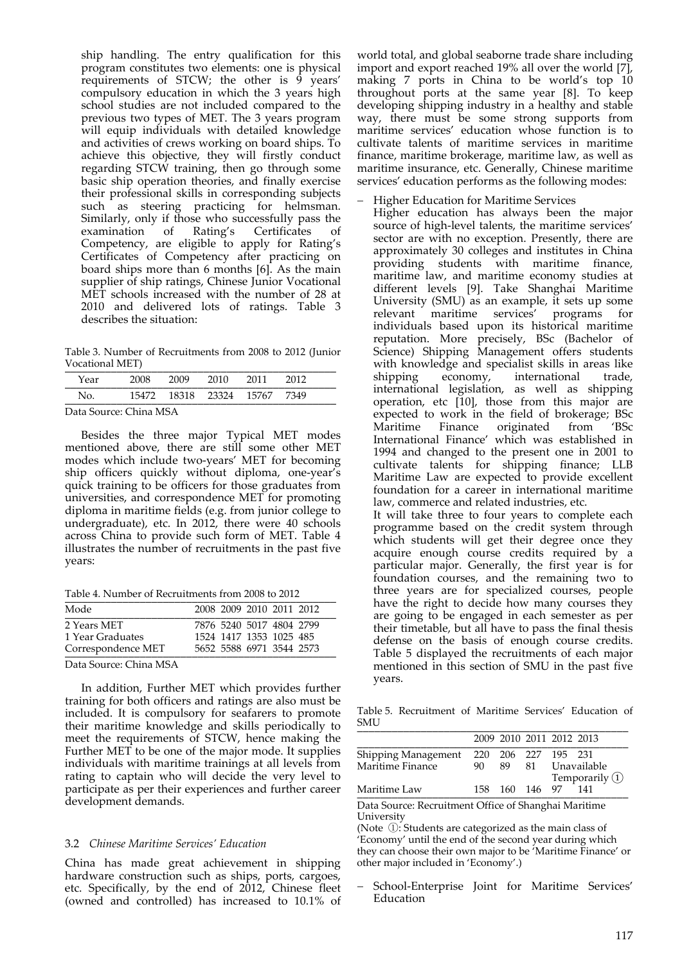ship handling. The entry qualification for this program constitutes two elements: one is physical requirements of STCW; the other is  $\overline{9}$  years' compulsory education in which the 3 years high school studies are not included compared to the previous two types of MET. The 3 years program will equip individuals with detailed knowledge and activities of crews working on board ships. To achieve this objective, they will firstly conduct regarding STCW training, then go through some basic ship operation theories, and finally exercise their professional skills in corresponding subjects such as steering practicing for helmsman. Similarly, only if those who successfully pass the<br>examination of Rating's Certificates of examination of Rating's Certificates of Competency, are eligible to apply for Rating's Certificates of Competency after practicing on board ships more than 6 months [6]. As the main supplier of ship ratings, Chinese Junior Vocational MET schools increased with the number of 28 at 2010 and delivered lots of ratings. Table 3 describes the situation:

Table 3. Number of Recruitments from 2008 to 2012 (Junior Vocational MET) \_\_\_\_\_\_\_\_\_\_\_\_\_\_\_\_\_\_\_\_\_\_\_\_\_\_\_\_\_\_\_\_\_\_\_\_\_\_\_\_\_\_\_\_\_\_\_

| Year          | 2008 2009 2010 2011 2012     |  |  |
|---------------|------------------------------|--|--|
| Nο            | 15472 18318 23324 15767 7349 |  |  |
| _ _ _ _ _ _ _ |                              |  |  |

Data Source: China MSA

Besides the three major Typical MET modes mentioned above, there are still some other MET modes which include two‐years' MET for becoming ship officers quickly without diploma, one‐year's quick training to be officers for those graduates from universities, and correspondence MET for promoting diploma in maritime fields (e.g. from junior college to undergraduate), etc. In 2012, there were 40 schools across China to provide such form of MET. Table 4 illustrates the number of recruitments in the past five years:

Table 4. Number of Recruitments from 2008 to 2012

| Mode               |  | 2008 2009 2010 2011 2012 |  |
|--------------------|--|--------------------------|--|
| 2 Years MET        |  | 7876 5240 5017 4804 2799 |  |
| 1 Year Graduates   |  | 1524 1417 1353 1025 485  |  |
| Correspondence MET |  | 5652 5588 6971 3544 2573 |  |

Data Source: China MSA

In addition, Further MET which provides further training for both officers and ratings are also must be included. It is compulsory for seafarers to promote their maritime knowledge and skills periodically to meet the requirements of STCW, hence making the Further MET to be one of the major mode. It supplies individuals with maritime trainings at all levels from rating to captain who will decide the very level to participate as per their experiences and further career development demands.

#### 3.2 *Chinese Maritime Services' Education*

China has made great achievement in shipping hardware construction such as ships, ports, cargoes, etc. Specifically, by the end of 2012, Chinese fleet (owned and controlled) has increased to 10.1% of world total, and global seaborne trade share including import and export reached 19% all over the world [7], making 7 ports in China to be world's top 10 throughout ports at the same year [8]. To keep developing shipping industry in a healthy and stable way, there must be some strong supports from maritime services' education whose function is to cultivate talents of maritime services in maritime finance, maritime brokerage, maritime law, as well as maritime insurance, etc. Generally, Chinese maritime services' education performs as the following modes:

Higher Education for Maritime Services

Higher education has always been the major source of high-level talents, the maritime services' sector are with no exception. Presently, there are approximately 30 colleges and institutes in China providing students with maritime finance, maritime law, and maritime economy studies at different levels [9]. Take Shanghai Maritime University (SMU) as an example, it sets up some relevant maritime services' programs for individuals based upon its historical maritime reputation. More precisely, BSc (Bachelor of Science) Shipping Management offers students with knowledge and specialist skills in areas like<br>shipping economy, international trade, shipping economy, international trade, international legislation, as well as shipping operation, etc [10], those from this major are expected to work in the field of brokerage; BSc Maritime Finance originated from 'BSc International Finance' which was established in 1994 and changed to the present one in 2001 to cultivate talents for shipping finance; LLB Maritime Law are expected to provide excellent foundation for a career in international maritime law, commerce and related industries, etc.

It will take three to four years to complete each programme based on the credit system through which students will get their degree once they acquire enough course credits required by a particular major. Generally, the first year is for foundation courses, and the remaining two to three years are for specialized courses, people have the right to decide how many courses they are going to be engaged in each semester as per their timetable, but all have to pass the final thesis defense on the basis of enough course credits. Table 5 displayed the recruitments of each major mentioned in this section of SMU in the past five years.

Table 5. Recruitment of Maritime Services' Education of SMU \_\_\_\_\_\_\_\_\_\_\_\_\_\_\_\_\_\_\_\_\_\_\_\_\_\_\_\_\_\_\_\_\_\_\_\_\_\_\_\_\_\_\_\_\_\_\_

|                     |                     |                | 2009 2010 2011 2012 2013      |                   |
|---------------------|---------------------|----------------|-------------------------------|-------------------|
| Shipping Management | 220 206 227 195 231 |                |                               |                   |
| Maritime Finance    | 90.                 |                |                               | 89 81 Unavailable |
|                     |                     |                | Temporarily $\textcircled{1}$ |                   |
| Maritime Law        |                     | 158 160 146 97 |                               | 141               |

Data Source: Recruitment Office of Shanghai Maritime University

(Note ①: Students are categorized as the main class of 'Economy' until the end of the second year during which they can choose their own major to be 'Maritime Finance' or other major included in 'Economy'.)

School-Enterprise Joint for Maritime Services' Education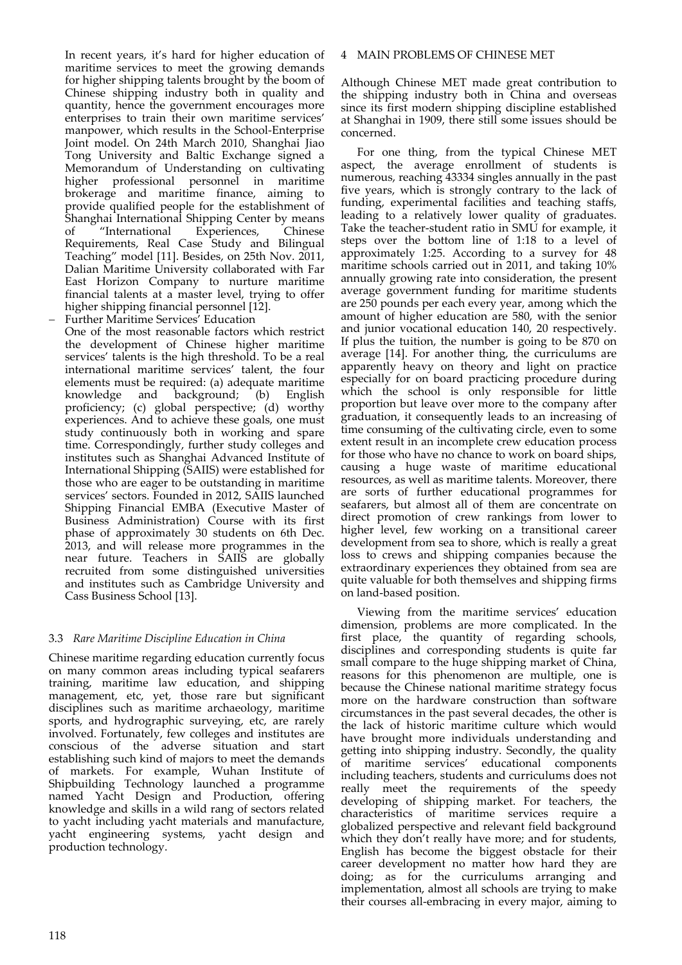In recent years, it's hard for higher education of maritime services to meet the growing demands for higher shipping talents brought by the boom of Chinese shipping industry both in quality and quantity, hence the government encourages more enterprises to train their own maritime services' manpower, which results in the School‐Enterprise Joint model. On 24th March 2010, Shanghai Jiao Tong University and Baltic Exchange signed a Memorandum of Understanding on cultivating higher professional personnel in maritime brokerage and maritime finance, aiming to provide qualified people for the establishment of Shanghai International Shipping Center by means of "International Experiences, Chinese Requirements, Real Case Study and Bilingual Teaching" model [11]. Besides, on 25th Nov. 2011, Dalian Maritime University collaborated with Far East Horizon Company to nurture maritime financial talents at a master level, trying to offer higher shipping financial personnel [12].

 Further Maritime Services' Education One of the most reasonable factors which restrict the development of Chinese higher maritime services' talents is the high threshold. To be a real international maritime services' talent, the four elements must be required: (a) adequate maritime knowledge and background; (b) English proficiency; (c) global perspective; (d) worthy experiences. And to achieve these goals, one must study continuously both in working and spare time. Correspondingly, further study colleges and institutes such as Shanghai Advanced Institute of International Shipping (SAIIS) were established for those who are eager to be outstanding in maritime services' sectors. Founded in 2012, SAIIS launched Shipping Financial EMBA (Executive Master of Business Administration) Course with its first phase of approximately 30 students on 6th Dec. 2013, and will release more programmes in the near future. Teachers in SAIIS are globally recruited from some distinguished universities and institutes such as Cambridge University and Cass Business School [13].

# 3.3 *Rare Maritime Discipline Education in China*

Chinese maritime regarding education currently focus on many common areas including typical seafarers training, maritime law education, and shipping management, etc, yet, those rare but significant disciplines such as maritime archaeology, maritime sports, and hydrographic surveying, etc, are rarely involved. Fortunately, few colleges and institutes are conscious of the adverse situation and start establishing such kind of majors to meet the demands of markets. For example, Wuhan Institute of Shipbuilding Technology launched a programme named Yacht Design and Production, offering knowledge and skills in a wild rang of sectors related to yacht including yacht materials and manufacture, yacht engineering systems, yacht design and production technology.

## 4 MAIN PROBLEMS OF CHINESE MET

Although Chinese MET made great contribution to the shipping industry both in China and overseas since its first modern shipping discipline established at Shanghai in 1909, there still some issues should be concerned.

For one thing, from the typical Chinese MET aspect, the average enrollment of students is numerous, reaching 43334 singles annually in the past five years, which is strongly contrary to the lack of funding, experimental facilities and teaching staffs, leading to a relatively lower quality of graduates. Take the teacher‐student ratio in SMU for example, it steps over the bottom line of 1:18 to a level of approximately 1:25. According to a survey for 48 maritime schools carried out in 2011, and taking 10% annually growing rate into consideration, the present average government funding for maritime students are 250 pounds per each every year, among which the amount of higher education are 580, with the senior and junior vocational education 140, 20 respectively. If plus the tuition, the number is going to be 870 on average [14]. For another thing, the curriculums are apparently heavy on theory and light on practice especially for on board practicing procedure during which the school is only responsible for little proportion but leave over more to the company after graduation, it consequently leads to an increasing of time consuming of the cultivating circle, even to some extent result in an incomplete crew education process for those who have no chance to work on board ships, causing a huge waste of maritime educational resources, as well as maritime talents. Moreover, there are sorts of further educational programmes for seafarers, but almost all of them are concentrate on direct promotion of crew rankings from lower to higher level, few working on a transitional career development from sea to shore, which is really a great loss to crews and shipping companies because the extraordinary experiences they obtained from sea are quite valuable for both themselves and shipping firms on land‐based position.

Viewing from the maritime services' education dimension, problems are more complicated. In the first place, the quantity of regarding schools, disciplines and corresponding students is quite far small compare to the huge shipping market of China, reasons for this phenomenon are multiple, one is because the Chinese national maritime strategy focus more on the hardware construction than software circumstances in the past several decades, the other is the lack of historic maritime culture which would have brought more individuals understanding and getting into shipping industry. Secondly, the quality of maritime services' educational components including teachers, students and curriculums does not really meet the requirements of the speedy developing of shipping market. For teachers, the characteristics of maritime services require a globalized perspective and relevant field background which they don't really have more; and for students, English has become the biggest obstacle for their career development no matter how hard they are doing; as for the curriculums arranging and implementation, almost all schools are trying to make their courses all‐embracing in every major, aiming to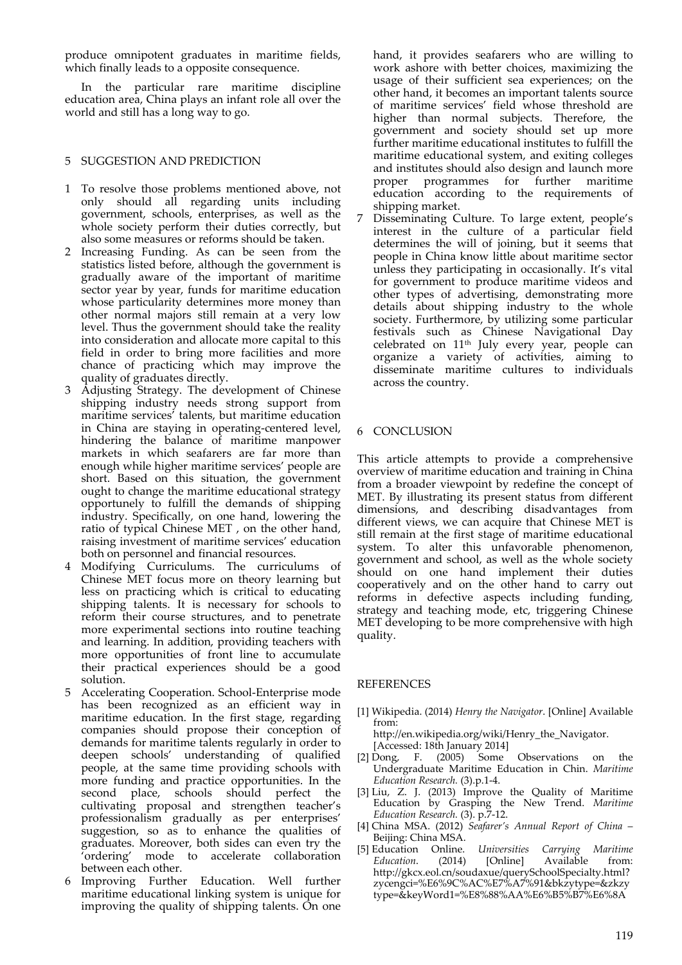produce omnipotent graduates in maritime fields, which finally leads to a opposite consequence.

In the particular rare maritime discipline education area, China plays an infant role all over the world and still has a long way to go.

## 5 SUGGESTION AND PREDICTION

- 1 To resolve those problems mentioned above, not only should all regarding units including government, schools, enterprises, as well as the whole society perform their duties correctly, but also some measures or reforms should be taken.
- 2 Increasing Funding. As can be seen from the statistics listed before, although the government is gradually aware of the important of maritime sector year by year, funds for maritime education whose particularity determines more money than other normal majors still remain at a very low level. Thus the government should take the reality into consideration and allocate more capital to this field in order to bring more facilities and more chance of practicing which may improve the quality of graduates directly.
- 3 Adjusting Strategy. The development of Chinese shipping industry needs strong support from maritime services' talents, but maritime education in China are staying in operating‐centered level, hindering the balance of maritime manpower markets in which seafarers are far more than enough while higher maritime services' people are short. Based on this situation, the government ought to change the maritime educational strategy opportunely to fulfill the demands of shipping industry. Specifically, on one hand, lowering the ratio of typical Chinese MET , on the other hand, raising investment of maritime services' education both on personnel and financial resources.
- 4 Modifying Curriculums. The curriculums of Chinese MET focus more on theory learning but less on practicing which is critical to educating shipping talents. It is necessary for schools to reform their course structures, and to penetrate more experimental sections into routine teaching and learning. In addition, providing teachers with more opportunities of front line to accumulate their practical experiences should be a good solution.
- 5 Accelerating Cooperation. School‐Enterprise mode has been recognized as an efficient way in maritime education. In the first stage, regarding companies should propose their conception of demands for maritime talents regularly in order to deepen schools' understanding of qualified people, at the same time providing schools with more funding and practice opportunities. In the second place, schools should perfect the cultivating proposal and strengthen teacher's professionalism gradually as per enterprises' suggestion, so as to enhance the qualities of graduates. Moreover, both sides can even try the 'ordering' mode to accelerate collaboration between each other.
- 6 Improving Further Education. Well further maritime educational linking system is unique for improving the quality of shipping talents. On one

hand, it provides seafarers who are willing to work ashore with better choices, maximizing the usage of their sufficient sea experiences; on the other hand, it becomes an important talents source of maritime services' field whose threshold are higher than normal subjects. Therefore, the government and society should set up more further maritime educational institutes to fulfill the maritime educational system, and exiting colleges and institutes should also design and launch more proper programmes for further maritime education according to the requirements of shipping market.

7 Disseminating Culture. To large extent, people's interest in the culture of a particular field determines the will of joining, but it seems that people in China know little about maritime sector unless they participating in occasionally. It's vital for government to produce maritime videos and other types of advertising, demonstrating more details about shipping industry to the whole society. Furthermore, by utilizing some particular festivals such as Chinese Navigational Day celebrated on 11th July every year, people can organize a variety of activities, aiming to disseminate maritime cultures to individuals across the country.

## 6 CONCLUSION

This article attempts to provide a comprehensive overview of maritime education and training in China from a broader viewpoint by redefine the concept of MET. By illustrating its present status from different dimensions, and describing disadvantages from different views, we can acquire that Chinese MET is still remain at the first stage of maritime educational system. To alter this unfavorable phenomenon, government and school, as well as the whole society should on one hand implement their duties cooperatively and on the other hand to carry out reforms in defective aspects including funding, strategy and teaching mode, etc, triggering Chinese MET developing to be more comprehensive with high quality.

## REFERENCES

[1] Wikipedia. (2014) *Henry the Navigator*. [Online] Available from:

http://en.wikipedia.org/wiki/Henry\_the\_Navigator. [Accessed: 18th January 2014]

- [2] Dong, F. (2005) Some Observations on the Undergraduate Maritime Education in Chin. *Maritime Education Research.* (3).p.1‐4.
- [3] Liu, Z. J. (2013) Improve the Quality of Maritime Education by Grasping the New Trend. *Maritime Education Research.* (3). p.7‐12.
- [4] China MSA. (2012) *Seafarer's Annual Report of China* Beijing: China MSA.
- [5] Education Online. *Universities Carrying Maritime Education*. (2014) [Online] Available from: http://gkcx.eol.cn/soudaxue/querySchoolSpecialty.html? zycengci=%E6%9C%AC%E7%A7%91&bkzytype=&zkzy type=&keyWord1=%E8%88%AA%E6%B5%B7%E6%8A